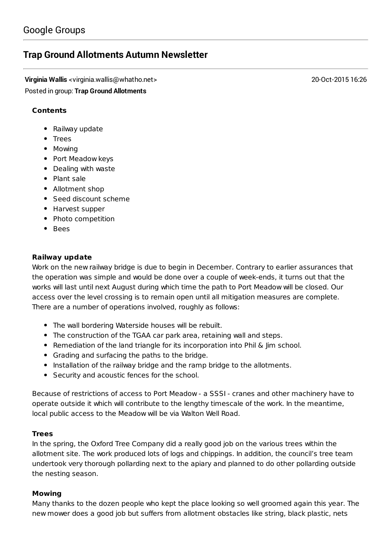# **Trap Ground [Allotments](https://groups.google.com/d/topic/trapgroundallotments/u3dkkGoiCM4) Autumn Newsletter**

**Virginia Wallis** <virginia.wallis@whatho.net> 20-Oct-2015 16:26 Posted in group: **Trap Ground [Allotments](https://groups.google.com/d/forum/trapgroundallotments)**

# **Contents**

- Railway update
- Trees
- Mowing
- Port Meadow keys
- Dealing with waste
- Plant sale
- Allotment shop
- Seed discount scheme
- Harvest supper
- Photo competition
- Bees

## **Railway update**

Work on the new railway bridge is due to begin in December. Contrary to earlier assurances that the operation was simple and would be done over a couple of week-ends, it turns out that the works will last until next August during which time the path to Port Meadow will be closed. Our access over the level crossing is to remain open until all mitigation measures are complete. There are a number of operations involved, roughly as follows:

- The wall bordering Waterside houses will be rebuilt.
- The construction of the TGAA car park area, retaining wall and steps.
- Remediation of the land triangle for its incorporation into Phil & Jim school.
- Grading and surfacing the paths to the bridge.
- Installation of the railway bridge and the ramp bridge to the allotments.
- Security and acoustic fences for the school.

Because of restrictions of access to Port Meadow - a SSSI - cranes and other machinery have to operate outside it which will contribute to the lengthy timescale of the work. In the meantime, local public access to the Meadow will be via Walton Well Road.

# **Trees**

In the spring, the Oxford Tree Company did a really good job on the various trees within the allotment site. The work produced lots of logs and chippings. In addition, the council's tree team undertook very thorough pollarding next to the apiary and planned to do other pollarding outside the nesting season.

#### **Mowing**

Many thanks to the dozen people who kept the place looking so well groomed again this year. The new mower does a good job but suffers from allotment obstacles like string, black plastic, nets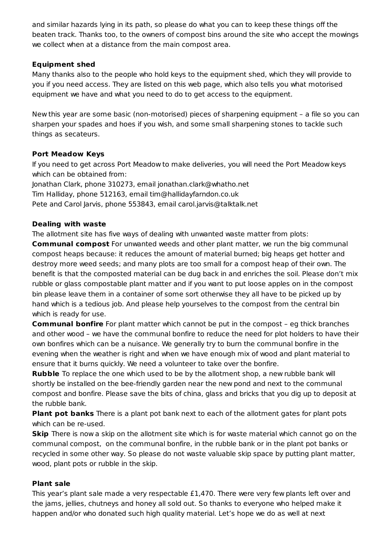and similar hazards lying in its path, so please do what you can to keep these things off the beaten track. Thanks too, to the owners of compost bins around the site who accept the mowings we collect when at a distance from the main compost area.

# **Equipment shed**

Many thanks also to the people who hold keys to the equipment shed, which they will provide to you if you need access. They are listed on this web [page,](http://www.trapgroundallotments.org.uk/shared-equipment) which also tells you what motorised equipment we have and what you need to do to get access to the equipment.

New this year are some basic (non-motorised) pieces of sharpening equipment – a file so you can sharpen your spades and hoes if you wish, and some small sharpening stones to tackle such things as secateurs.

## **Port Meadow Keys**

If you need to get across Port Meadow to make deliveries, you will need the Port Meadow keys which can be obtained from:

Jonathan Clark, phone 310273, email [jonathan.clark@whatho.net](mailto:jonathan.clark@whatho.net) Tim Halliday, phone 512163, email [tim@hallidayfarndon.co.uk](mailto:tim@hallidayfarndon.co.uk) Pete and Carol Jarvis, phone 553843, email [carol.jarvis@talktalk.net](mailto:carol.jarvis@talktalk.net)

## **Dealing with waste**

The allotment site has five ways of dealing with unwanted waste matter from plots:

**Communal compost** For unwanted weeds and other plant matter, we run the big communal compost heaps because: it reduces the amount of material burned; big heaps get hotter and destroy more weed seeds; and many plots are too small for a compost heap of their own. The benefit is that the composted material can be dug back in and enriches the soil. Please don't mix rubble or glass compostable plant matter and if you want to put loose apples on in the compost bin please leave them in a container of some sort otherwise they all have to be picked up by hand which is a tedious job. And please help yourselves to the compost from the central bin which is ready for use.

**Communal bonfire** For plant matter which cannot be put in the compost – eg thick branches and other wood – we have the communal bonfire to reduce the need for plot holders to have their own bonfires which can be a nuisance. We generally try to burn the communal bonfire in the evening when the weather is right and when we have enough mix of wood and plant material to ensure that it burns quickly. We need a volunteer to take over the bonfire.

**Rubble** To replace the one which used to be by the allotment shop, a new rubble bank will shortly be installed on the bee-friendly garden near the new pond and next to the communal compost and bonfire. Please save the bits of china, glass and bricks that you dig up to deposit at the rubble bank.

**Plant pot banks** There is a plant pot bank next to each of the allotment gates for plant pots which can be re-used.

**Skip** There is now a skip on the allotment site which is for waste material which cannot go on the communal compost, on the communal bonfire, in the rubble bank or in the plant pot banks or recycled in some other way. So please do not waste valuable skip space by putting plant matter, wood, plant pots or rubble in the skip.

#### **Plant sale**

This year's plant sale made a very respectable £1,470. There were very few plants left over and the jams, jellies, chutneys and honey all sold out. So thanks to everyone who helped make it happen and/or who donated such high quality material. Let's hope we do as well at next